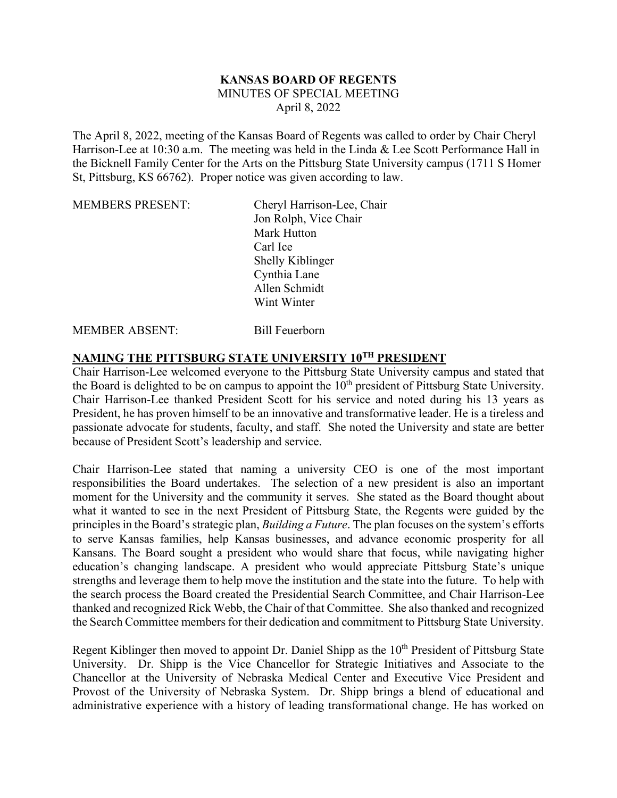## **KANSAS BOARD OF REGENTS** MINUTES OF SPECIAL MEETING April 8, 2022

The April 8, 2022, meeting of the Kansas Board of Regents was called to order by Chair Cheryl Harrison-Lee at 10:30 a.m. The meeting was held in the Linda & Lee Scott Performance Hall in the Bicknell Family Center for the Arts on the Pittsburg State University campus (1711 S Homer St, Pittsburg, KS 66762). Proper notice was given according to law.

| <b>MEMBERS PRESENT:</b> | Cheryl Harrison-Lee, Chair |
|-------------------------|----------------------------|
|                         | Jon Rolph, Vice Chair      |
|                         | Mark Hutton                |
|                         | Carl Ice                   |
|                         | Shelly Kiblinger           |
|                         | Cynthia Lane               |
|                         | Allen Schmidt              |
|                         | Wint Winter                |
|                         |                            |

## MEMBER ABSENT: Bill Feuerborn

## **NAMING THE PITTSBURG STATE UNIVERSITY 10TH PRESIDENT**

Chair Harrison-Lee welcomed everyone to the Pittsburg State University campus and stated that the Board is delighted to be on campus to appoint the  $10<sup>th</sup>$  president of Pittsburg State University. Chair Harrison-Lee thanked President Scott for his service and noted during his 13 years as President, he has proven himself to be an innovative and transformative leader. He is a tireless and passionate advocate for students, faculty, and staff. She noted the University and state are better because of President Scott's leadership and service.

Chair Harrison-Lee stated that naming a university CEO is one of the most important responsibilities the Board undertakes. The selection of a new president is also an important moment for the University and the community it serves. She stated as the Board thought about what it wanted to see in the next President of Pittsburg State, the Regents were guided by the principles in the Board's strategic plan, *Building a Future*. The plan focuses on the system's efforts to serve Kansas families, help Kansas businesses, and advance economic prosperity for all Kansans. The Board sought a president who would share that focus, while navigating higher education's changing landscape. A president who would appreciate Pittsburg State's unique strengths and leverage them to help move the institution and the state into the future. To help with the search process the Board created the Presidential Search Committee, and Chair Harrison-Lee thanked and recognized Rick Webb, the Chair of that Committee. She also thanked and recognized the Search Committee members for their dedication and commitment to Pittsburg State University.

Regent Kiblinger then moved to appoint Dr. Daniel Shipp as the 10<sup>th</sup> President of Pittsburg State University. Dr. Shipp is the Vice Chancellor for Strategic Initiatives and Associate to the Chancellor at the University of Nebraska Medical Center and Executive Vice President and Provost of the University of Nebraska System. Dr. Shipp brings a blend of educational and administrative experience with a history of leading transformational change. He has worked on